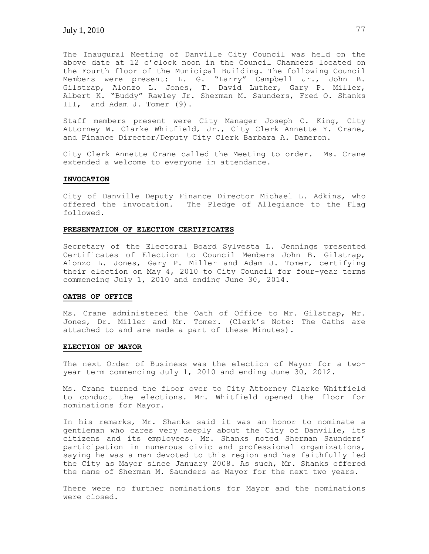The Inaugural Meeting of Danville City Council was held on the above date at 12 o'clock noon in the Council Chambers located on the Fourth floor of the Municipal Building. The following Council Members were present: L. G. "Larry" Campbell Jr., John B. Gilstrap, Alonzo L. Jones, T. David Luther, Gary P. Miller, Albert K. "Buddy" Rawley Jr. Sherman M. Saunders, Fred O. Shanks III, and Adam J. Tomer (9).

Staff members present were City Manager Joseph C. King, City Attorney W. Clarke Whitfield, Jr., City Clerk Annette Y. Crane, and Finance Director/Deputy City Clerk Barbara A. Dameron.

City Clerk Annette Crane called the Meeting to order. Ms. Crane extended a welcome to everyone in attendance.

#### **INVOCATION**

City of Danville Deputy Finance Director Michael L. Adkins, who offered the invocation. The Pledge of Allegiance to the Flag followed.

#### **PRESENTATION OF ELECTION CERTIFICATES**

Secretary of the Electoral Board Sylvesta L. Jennings presented Certificates of Election to Council Members John B. Gilstrap, Alonzo L. Jones, Gary P. Miller and Adam J. Tomer, certifying their election on May 4, 2010 to City Council for four-year terms commencing July 1, 2010 and ending June 30, 2014.

# **OATHS OF OFFICE**

Ms. Crane administered the Oath of Office to Mr. Gilstrap, Mr. Jones, Dr. Miller and Mr. Tomer. (Clerk's Note: The Oaths are attached to and are made a part of these Minutes).

#### **ELECTION OF MAYOR**

The next Order of Business was the election of Mayor for a twoyear term commencing July 1, 2010 and ending June 30, 2012.

Ms. Crane turned the floor over to City Attorney Clarke Whitfield to conduct the elections. Mr. Whitfield opened the floor for nominations for Mayor.

In his remarks, Mr. Shanks said it was an honor to nominate a gentleman who cares very deeply about the City of Danville, its citizens and its employees. Mr. Shanks noted Sherman Saunders' participation in numerous civic and professional organizations, saying he was a man devoted to this region and has faithfully led the City as Mayor since January 2008. As such, Mr. Shanks offered the name of Sherman M. Saunders as Mayor for the next two years.

There were no further nominations for Mayor and the nominations were closed.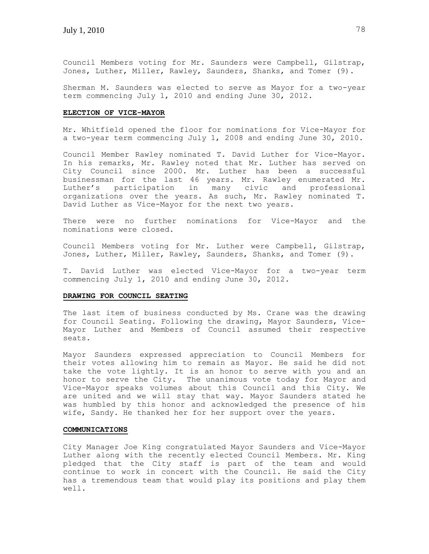Council Members voting for Mr. Saunders were Campbell, Gilstrap, Jones, Luther, Miller, Rawley, Saunders, Shanks, and Tomer (9).

Sherman M. Saunders was elected to serve as Mayor for a two-year term commencing July 1, 2010 and ending June 30, 2012.

### **ELECTION OF VICE-MAYOR**

Mr. Whitfield opened the floor for nominations for Vice-Mayor for a two-year term commencing July 1, 2008 and ending June 30, 2010.

Council Member Rawley nominated T. David Luther for Vice-Mayor. In his remarks, Mr. Rawley noted that Mr. Luther has served on City Council since 2000. Mr. Luther has been a successful businessman for the last 46 years. Mr. Rawley enumerated Mr. Luther's participation in many civic and professional organizations over the years. As such, Mr. Rawley nominated T. David Luther as Vice-Mayor for the next two years.

There were no further nominations for Vice-Mayor and the nominations were closed.

Council Members voting for Mr. Luther were Campbell, Gilstrap, Jones, Luther, Miller, Rawley, Saunders, Shanks, and Tomer (9).

T. David Luther was elected Vice-Mayor for a two-year term commencing July 1, 2010 and ending June 30, 2012.

### **DRAWING FOR COUNCIL SEATING**

The last item of business conducted by Ms. Crane was the drawing for Council Seating. Following the drawing, Mayor Saunders, Vice-Mayor Luther and Members of Council assumed their respective seats.

Mayor Saunders expressed appreciation to Council Members for their votes allowing him to remain as Mayor. He said he did not take the vote lightly. It is an honor to serve with you and an honor to serve the City. The unanimous vote today for Mayor and Vice-Mayor speaks volumes about this Council and this City. We are united and we will stay that way. Mayor Saunders stated he was humbled by this honor and acknowledged the presence of his wife, Sandy. He thanked her for her support over the years.

#### **COMMUNICATIONS**

City Manager Joe King congratulated Mayor Saunders and Vice-Mayor Luther along with the recently elected Council Members. Mr. King pledged that the City staff is part of the team and would continue to work in concert with the Council. He said the City has a tremendous team that would play its positions and play them well.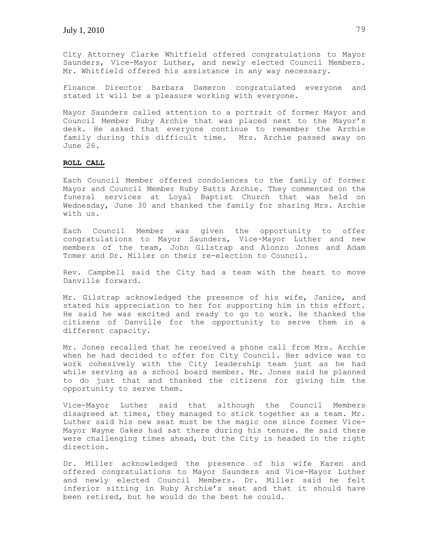City Attorney Clarke Whitfield offered congratulations to Mayor Saunders, Vice-Mayor Luther, and newly elected Council Members. Mr. Whitfield offered his assistance in any way necessary.

Finance Director Barbara Dameron congratulated everyone and stated it will be a pleasure working with everyone.

Mayor Saunders called attention to a portrait of former Mayor and Council Member Ruby Archie that was placed next to the Mayor's desk. He asked that everyone continue to remember the Archie family during this difficult time. Mrs. Archie passed away on June 26.

# **ROLL CALL**

Each Council Member offered condolences to the family of former Mayor and Council Member Ruby Batts Archie. They commented on the funeral services at Loyal Baptist Church that was held on Wednesday, June 30 and thanked the family for sharing Mrs. Archie with us.

Each Council Member was given the opportunity to offer congratulations to Mayor Saunders, Vice-Mayor Luther and new members of the team, John Gilstrap and Alonzo Jones and Adam Tomer and Dr. Miller on their re-election to Council.

Rev. Campbell said the City had a team with the heart to move Danville forward.

Mr. Gilstrap acknowledged the presence of his wife, Janice, and stated his appreciation to her for supporting him in this effort. He said he was excited and ready to go to work. He thanked the citizens of Danville for the opportunity to serve them in a different capacity.

Mr. Jones recalled that he received a phone call from Mrs. Archie when he had decided to offer for City Council. Her advice was to work cohesively with the City leadership team just as he had while serving as a school board member. Mr. Jones said he planned to do just that and thanked the citizens for giving him the opportunity to serve them.

Vice-Mayor Luther said that although the Council Members disagreed at times, they managed to stick together as a team. Mr. Luther said his new seat must be the magic one since former Vice-Mayor Wayne Oakes had sat there during his tenure. He said there were challenging times ahead, but the City is headed in the right direction.

Dr. Miller acknowledged the presence of his wife Karen and offered congratulations to Mayor Saunders and Vice-Mayor Luther and newly elected Council Members. Dr. Miller said he felt inferior sitting in Ruby Archie's seat and that it should have been retired, but he would do the best he could.